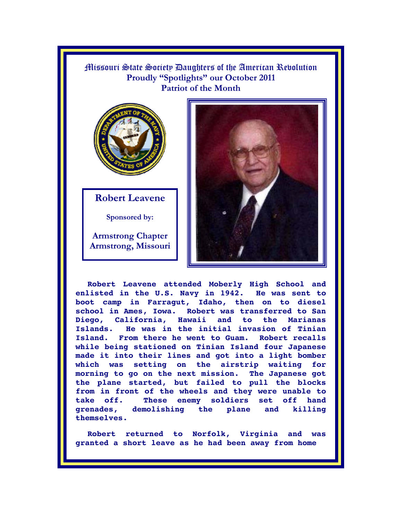Missouri State Society Daughters of the American Revolution **Proudly "Spotlights" our October 2011 Patriot of the Month**



**Robert Leavene** 

**Sponsored by:** 

**Armstrong Chapter Armstrong, Missouri** 



**Robert Leavene attended Moberly High School and enlisted in the U.S. Navy in 1942. He was sent to boot camp in Farragut, Idaho, then on to diesel school in Ames, Iowa. Robert was transferred to San Diego, California, Hawaii and to the Marianas Islands. He was in the initial invasion of Tinian Island. From there he went to Guam. Robert recalls while being stationed on Tinian Island four Japanese made it into their lines and got into a light bomber which was setting on the airstrip waiting for morning to go on the next mission. The Japanese got the plane started, but failed to pull the blocks from in front of the wheels and they were unable to take off. These enemy soldiers set off hand grenades, demolishing the plane and killing themselves.** 

**Robert returned to Norfolk, Virginia and was granted a short leave as he had been away from home**